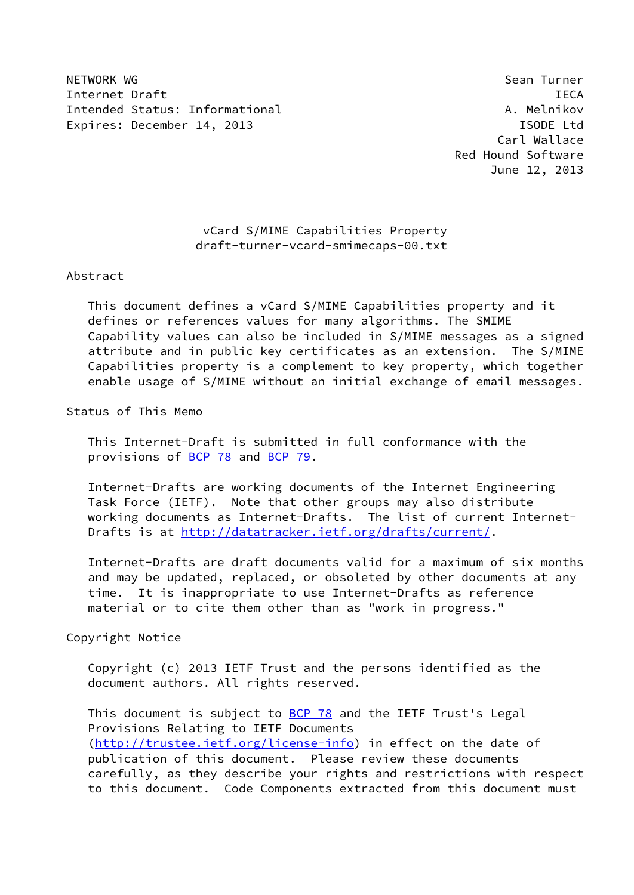NETWORK WG **Sean Turner** Sean Turner Internet Draft **IECA** Intended Status: Informational A. Melnikov Expires: December 14, 2013 ISODE Ltd

 Carl Wallace Red Hound Software June 12, 2013

# vCard S/MIME Capabilities Property draft-turner-vcard-smimecaps-00.txt

## Abstract

 This document defines a vCard S/MIME Capabilities property and it defines or references values for many algorithms. The SMIME Capability values can also be included in S/MIME messages as a signed attribute and in public key certificates as an extension. The S/MIME Capabilities property is a complement to key property, which together enable usage of S/MIME without an initial exchange of email messages.

Status of This Memo

 This Internet-Draft is submitted in full conformance with the provisions of [BCP 78](https://datatracker.ietf.org/doc/pdf/bcp78) and [BCP 79](https://datatracker.ietf.org/doc/pdf/bcp79).

 Internet-Drafts are working documents of the Internet Engineering Task Force (IETF). Note that other groups may also distribute working documents as Internet-Drafts. The list of current Internet- Drafts is at<http://datatracker.ietf.org/drafts/current/>.

 Internet-Drafts are draft documents valid for a maximum of six months and may be updated, replaced, or obsoleted by other documents at any time. It is inappropriate to use Internet-Drafts as reference material or to cite them other than as "work in progress."

Copyright Notice

 Copyright (c) 2013 IETF Trust and the persons identified as the document authors. All rights reserved.

This document is subject to **[BCP 78](https://datatracker.ietf.org/doc/pdf/bcp78)** and the IETF Trust's Legal Provisions Relating to IETF Documents [\(http://trustee.ietf.org/license-info](http://trustee.ietf.org/license-info)) in effect on the date of publication of this document. Please review these documents carefully, as they describe your rights and restrictions with respect to this document. Code Components extracted from this document must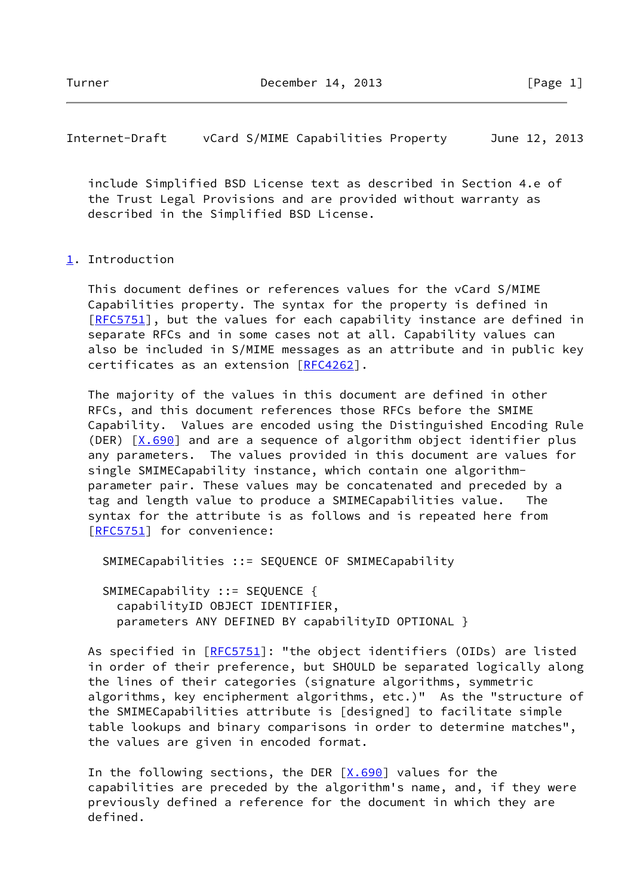Turner **December 14, 2013** [Page 1]

Internet-Draft vCard S/MIME Capabilities Property June 12, 2013

 include Simplified BSD License text as described in Section 4.e of the Trust Legal Provisions and are provided without warranty as described in the Simplified BSD License.

## <span id="page-1-0"></span>[1](#page-1-0). Introduction

 This document defines or references values for the vCard S/MIME Capabilities property. The syntax for the property is defined in [\[RFC5751](https://datatracker.ietf.org/doc/pdf/rfc5751)], but the values for each capability instance are defined in separate RFCs and in some cases not at all. Capability values can also be included in S/MIME messages as an attribute and in public key certificates as an extension [\[RFC4262](https://datatracker.ietf.org/doc/pdf/rfc4262)].

 The majority of the values in this document are defined in other RFCs, and this document references those RFCs before the SMIME Capability. Values are encoded using the Distinguished Encoding Rule (DER)  $[X.690]$  $[X.690]$  and are a sequence of algorithm object identifier plus any parameters. The values provided in this document are values for single SMIMECapability instance, which contain one algorithm parameter pair. These values may be concatenated and preceded by a tag and length value to produce a SMIMECapabilities value. The syntax for the attribute is as follows and is repeated here from [\[RFC5751](https://datatracker.ietf.org/doc/pdf/rfc5751)] for convenience:

SMIMECapabilities ::= SEQUENCE OF SMIMECapability

 SMIMECapability ::= SEQUENCE { capabilityID OBJECT IDENTIFIER, parameters ANY DEFINED BY capabilityID OPTIONAL }

As specified in [\[RFC5751](https://datatracker.ietf.org/doc/pdf/rfc5751)]: "the object identifiers (OIDs) are listed in order of their preference, but SHOULD be separated logically along the lines of their categories (signature algorithms, symmetric algorithms, key encipherment algorithms, etc.)" As the "structure of the SMIMECapabilities attribute is [designed] to facilitate simple table lookups and binary comparisons in order to determine matches", the values are given in encoded format.

In the following sections, the DER  $[X.690]$  $[X.690]$  values for the capabilities are preceded by the algorithm's name, and, if they were previously defined a reference for the document in which they are defined.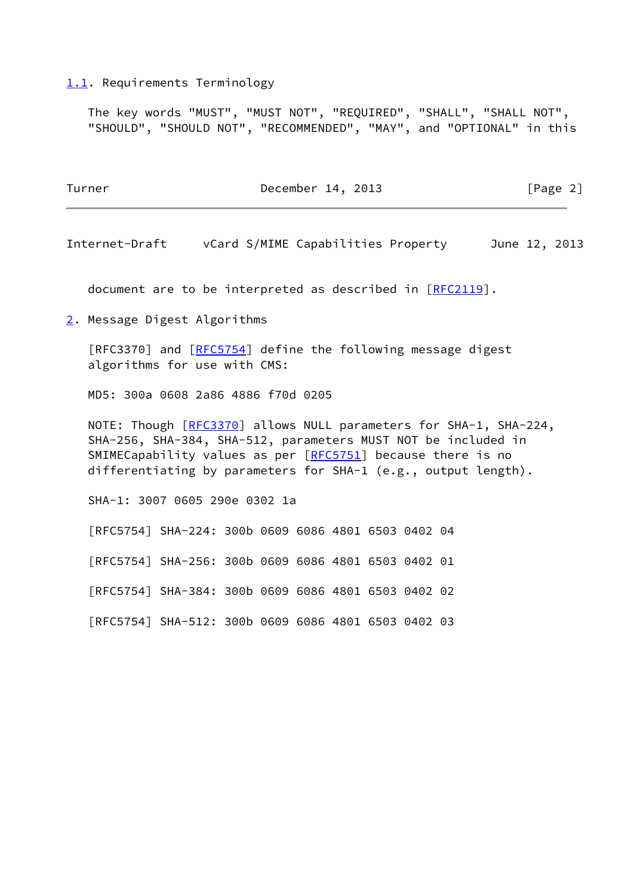#### <span id="page-2-0"></span>[1.1](#page-2-0). Requirements Terminology

 The key words "MUST", "MUST NOT", "REQUIRED", "SHALL", "SHALL NOT", "SHOULD", "SHOULD NOT", "RECOMMENDED", "MAY", and "OPTIONAL" in this

| Turner | December 14, 2013 |  | [Page 2] |  |
|--------|-------------------|--|----------|--|
|--------|-------------------|--|----------|--|

Internet-Draft vCard S/MIME Capabilities Property June 12, 2013

document are to be interpreted as described in [\[RFC2119](https://datatracker.ietf.org/doc/pdf/rfc2119)].

<span id="page-2-1"></span>[2](#page-2-1). Message Digest Algorithms

[RFC3370] and [[RFC5754](https://datatracker.ietf.org/doc/pdf/rfc5754)] define the following message digest algorithms for use with CMS:

MD5: 300a 0608 2a86 4886 f70d 0205

NOTE: Though [\[RFC3370](https://datatracker.ietf.org/doc/pdf/rfc3370)] allows NULL parameters for SHA-1, SHA-224, SHA-256, SHA-384, SHA-512, parameters MUST NOT be included in SMIMECapability values as per [[RFC5751](https://datatracker.ietf.org/doc/pdf/rfc5751)] because there is no differentiating by parameters for SHA-1 (e.g., output length).

SHA-1: 3007 0605 290e 0302 1a

[RFC5754] SHA-224: 300b 0609 6086 4801 6503 0402 04

[RFC5754] SHA-256: 300b 0609 6086 4801 6503 0402 01

[RFC5754] SHA-384: 300b 0609 6086 4801 6503 0402 02

[RFC5754] SHA-512: 300b 0609 6086 4801 6503 0402 03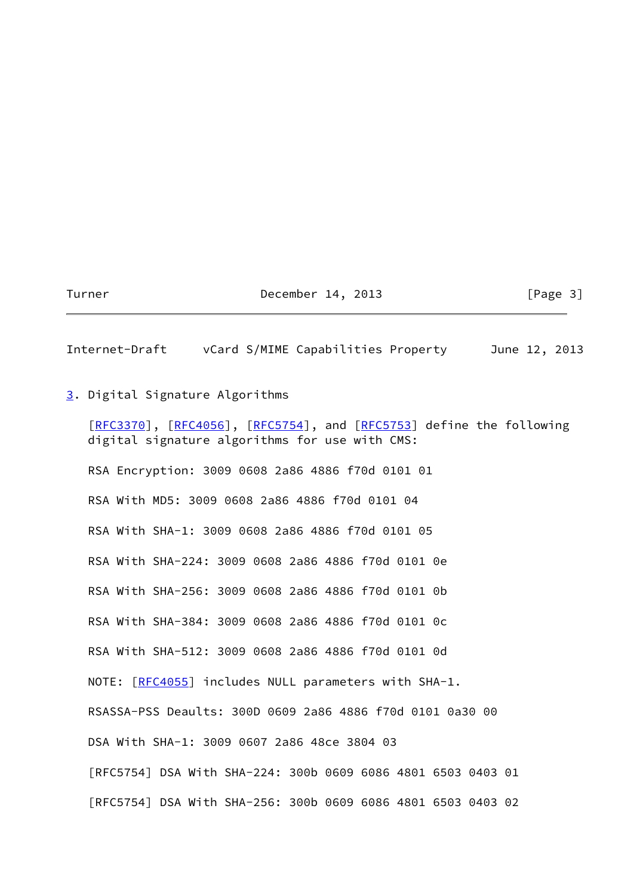## Turner **December 14, 2013** [Page 3]

#### Internet-Draft vCard S/MIME Capabilities Property June 12, 2013

## <span id="page-3-0"></span>[3](#page-3-0). Digital Signature Algorithms

[\[RFC3370](https://datatracker.ietf.org/doc/pdf/rfc3370)], [[RFC4056\]](https://datatracker.ietf.org/doc/pdf/rfc4056), [[RFC5754](https://datatracker.ietf.org/doc/pdf/rfc5754)], and [\[RFC5753](https://datatracker.ietf.org/doc/pdf/rfc5753)] define the following digital signature algorithms for use with CMS: RSA Encryption: 3009 0608 2a86 4886 f70d 0101 01 RSA With MD5: 3009 0608 2a86 4886 f70d 0101 04 RSA With SHA-1: 3009 0608 2a86 4886 f70d 0101 05 RSA With SHA-224: 3009 0608 2a86 4886 f70d 0101 0e RSA With SHA-256: 3009 0608 2a86 4886 f70d 0101 0b RSA With SHA-384: 3009 0608 2a86 4886 f70d 0101 0c RSA With SHA-512: 3009 0608 2a86 4886 f70d 0101 0d NOTE: [[RFC4055](https://datatracker.ietf.org/doc/pdf/rfc4055)] includes NULL parameters with SHA-1. RSASSA-PSS Deaults: 300D 0609 2a86 4886 f70d 0101 0a30 00 DSA With SHA-1: 3009 0607 2a86 48ce 3804 03 [RFC5754] DSA With SHA-224: 300b 0609 6086 4801 6503 0403 01 [RFC5754] DSA With SHA-256: 300b 0609 6086 4801 6503 0403 02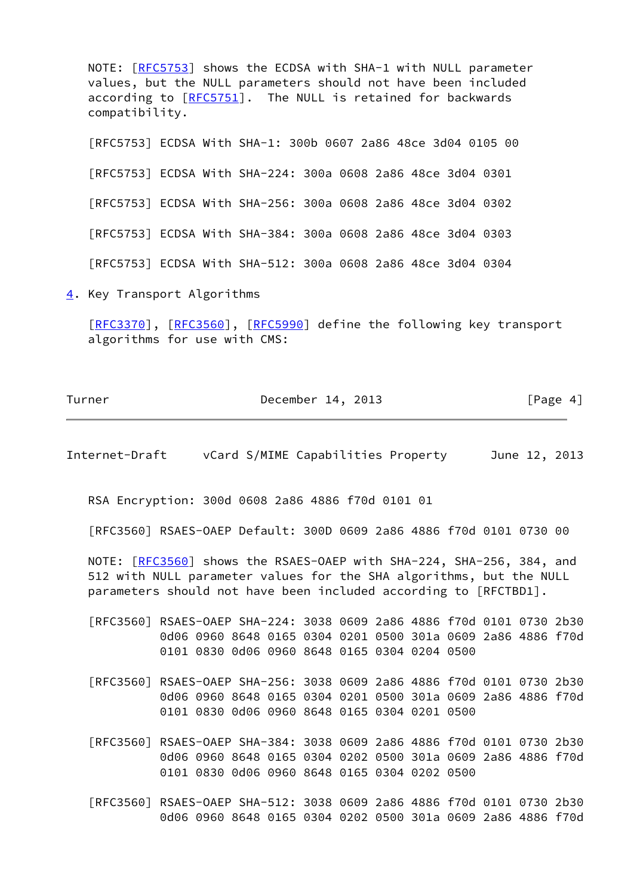NOTE: [[RFC5753](https://datatracker.ietf.org/doc/pdf/rfc5753)] shows the ECDSA with SHA-1 with NULL parameter values, but the NULL parameters should not have been included according to [\[RFC5751](https://datatracker.ietf.org/doc/pdf/rfc5751)]. The NULL is retained for backwards compatibility. [RFC5753] ECDSA With SHA-1: 300b 0607 2a86 48ce 3d04 0105 00 [RFC5753] ECDSA With SHA-224: 300a 0608 2a86 48ce 3d04 0301 [RFC5753] ECDSA With SHA-256: 300a 0608 2a86 48ce 3d04 0302 [RFC5753] ECDSA With SHA-384: 300a 0608 2a86 48ce 3d04 0303 [RFC5753] ECDSA With SHA-512: 300a 0608 2a86 48ce 3d04 0304

<span id="page-4-0"></span>[4](#page-4-0). Key Transport Algorithms

 [\[RFC3370](https://datatracker.ietf.org/doc/pdf/rfc3370)], [[RFC3560\]](https://datatracker.ietf.org/doc/pdf/rfc3560), [[RFC5990](https://datatracker.ietf.org/doc/pdf/rfc5990)] define the following key transport algorithms for use with CMS:

Turner **December 14, 2013** [Page 4]

Internet-Draft vCard S/MIME Capabilities Property June 12, 2013

RSA Encryption: 300d 0608 2a86 4886 f70d 0101 01

[RFC3560] RSAES-OAEP Default: 300D 0609 2a86 4886 f70d 0101 0730 00

NOTE: [[RFC3560](https://datatracker.ietf.org/doc/pdf/rfc3560)] shows the RSAES-OAEP with SHA-224, SHA-256, 384, and 512 with NULL parameter values for the SHA algorithms, but the NULL parameters should not have been included according to [RFCTBD1].

 [RFC3560] RSAES-OAEP SHA-224: 3038 0609 2a86 4886 f70d 0101 0730 2b30 0d06 0960 8648 0165 0304 0201 0500 301a 0609 2a86 4886 f70d 0101 0830 0d06 0960 8648 0165 0304 0204 0500

- [RFC3560] RSAES-OAEP SHA-256: 3038 0609 2a86 4886 f70d 0101 0730 2b30 0d06 0960 8648 0165 0304 0201 0500 301a 0609 2a86 4886 f70d 0101 0830 0d06 0960 8648 0165 0304 0201 0500
- [RFC3560] RSAES-OAEP SHA-384: 3038 0609 2a86 4886 f70d 0101 0730 2b30 0d06 0960 8648 0165 0304 0202 0500 301a 0609 2a86 4886 f70d 0101 0830 0d06 0960 8648 0165 0304 0202 0500
- [RFC3560] RSAES-OAEP SHA-512: 3038 0609 2a86 4886 f70d 0101 0730 2b30 0d06 0960 8648 0165 0304 0202 0500 301a 0609 2a86 4886 f70d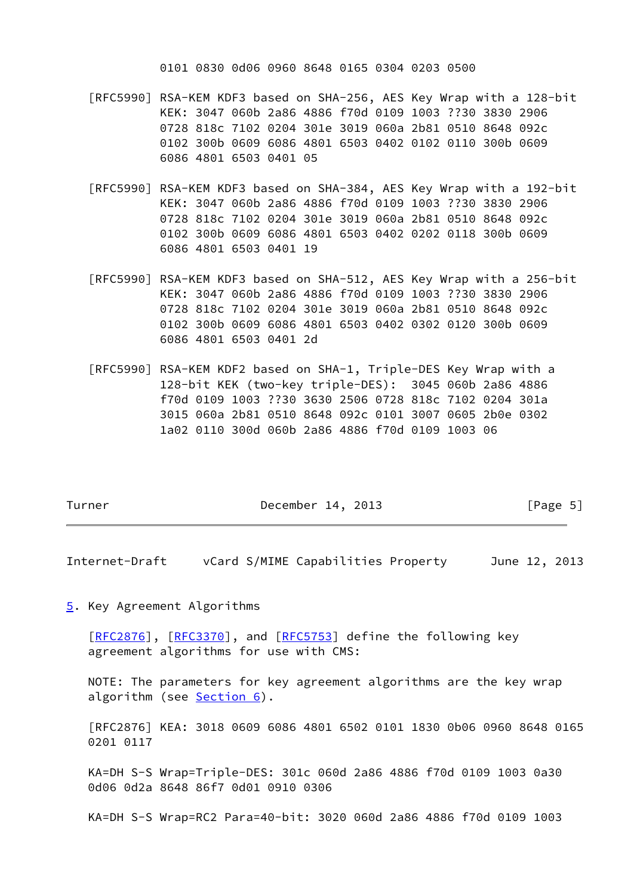0101 0830 0d06 0960 8648 0165 0304 0203 0500

- [RFC5990] RSA-KEM KDF3 based on SHA-256, AES Key Wrap with a 128-bit KEK: 3047 060b 2a86 4886 f70d 0109 1003 ??30 3830 2906 0728 818c 7102 0204 301e 3019 060a 2b81 0510 8648 092c 0102 300b 0609 6086 4801 6503 0402 0102 0110 300b 0609 6086 4801 6503 0401 05
- [RFC5990] RSA-KEM KDF3 based on SHA-384, AES Key Wrap with a 192-bit KEK: 3047 060b 2a86 4886 f70d 0109 1003 ??30 3830 2906 0728 818c 7102 0204 301e 3019 060a 2b81 0510 8648 092c 0102 300b 0609 6086 4801 6503 0402 0202 0118 300b 0609 6086 4801 6503 0401 19
- [RFC5990] RSA-KEM KDF3 based on SHA-512, AES Key Wrap with a 256-bit KEK: 3047 060b 2a86 4886 f70d 0109 1003 ??30 3830 2906 0728 818c 7102 0204 301e 3019 060a 2b81 0510 8648 092c 0102 300b 0609 6086 4801 6503 0402 0302 0120 300b 0609 6086 4801 6503 0401 2d
- [RFC5990] RSA-KEM KDF2 based on SHA-1, Triple-DES Key Wrap with a 128-bit KEK (two-key triple-DES): 3045 060b 2a86 4886 f70d 0109 1003 ??30 3630 2506 0728 818c 7102 0204 301a 3015 060a 2b81 0510 8648 092c 0101 3007 0605 2b0e 0302 1a02 0110 300d 060b 2a86 4886 f70d 0109 1003 06

| Turner | December 14, 2013 |  | [Page 5] |  |
|--------|-------------------|--|----------|--|
|        |                   |  |          |  |

Internet-Draft vCard S/MIME Capabilities Property June 12, 2013

<span id="page-5-0"></span>[5](#page-5-0). Key Agreement Algorithms

[\[RFC2876](https://datatracker.ietf.org/doc/pdf/rfc2876)], [[RFC3370\]](https://datatracker.ietf.org/doc/pdf/rfc3370), and [[RFC5753](https://datatracker.ietf.org/doc/pdf/rfc5753)] define the following key agreement algorithms for use with CMS:

 NOTE: The parameters for key agreement algorithms are the key wrap algorithm (see [Section 6\)](#page-10-0).

 [RFC2876] KEA: 3018 0609 6086 4801 6502 0101 1830 0b06 0960 8648 0165 0201 0117

 KA=DH S-S Wrap=Triple-DES: 301c 060d 2a86 4886 f70d 0109 1003 0a30 0d06 0d2a 8648 86f7 0d01 0910 0306

KA=DH S-S Wrap=RC2 Para=40-bit: 3020 060d 2a86 4886 f70d 0109 1003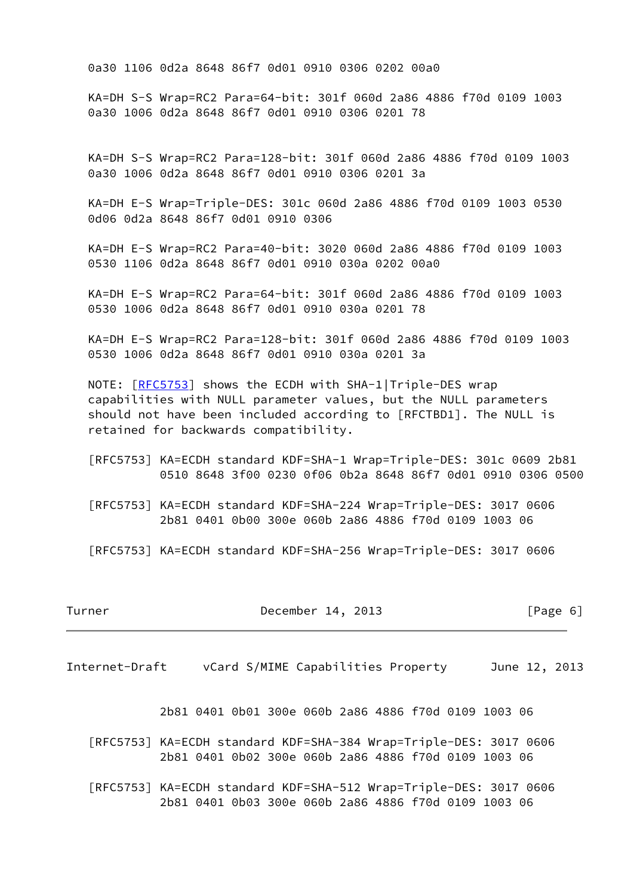0a30 1106 0d2a 8648 86f7 0d01 0910 0306 0202 00a0

 KA=DH S-S Wrap=RC2 Para=64-bit: 301f 060d 2a86 4886 f70d 0109 1003 0a30 1006 0d2a 8648 86f7 0d01 0910 0306 0201 78

 KA=DH S-S Wrap=RC2 Para=128-bit: 301f 060d 2a86 4886 f70d 0109 1003 0a30 1006 0d2a 8648 86f7 0d01 0910 0306 0201 3a

 KA=DH E-S Wrap=Triple-DES: 301c 060d 2a86 4886 f70d 0109 1003 0530 0d06 0d2a 8648 86f7 0d01 0910 0306

 KA=DH E-S Wrap=RC2 Para=40-bit: 3020 060d 2a86 4886 f70d 0109 1003 0530 1106 0d2a 8648 86f7 0d01 0910 030a 0202 00a0

 KA=DH E-S Wrap=RC2 Para=64-bit: 301f 060d 2a86 4886 f70d 0109 1003 0530 1006 0d2a 8648 86f7 0d01 0910 030a 0201 78

 KA=DH E-S Wrap=RC2 Para=128-bit: 301f 060d 2a86 4886 f70d 0109 1003 0530 1006 0d2a 8648 86f7 0d01 0910 030a 0201 3a

NOTE:  $[REC5753]$  shows the ECDH with SHA-1|Triple-DES wrap capabilities with NULL parameter values, but the NULL parameters should not have been included according to [RFCTBD1]. The NULL is retained for backwards compatibility.

 [RFC5753] KA=ECDH standard KDF=SHA-1 Wrap=Triple-DES: 301c 0609 2b81 0510 8648 3f00 0230 0f06 0b2a 8648 86f7 0d01 0910 0306 0500

 [RFC5753] KA=ECDH standard KDF=SHA-224 Wrap=Triple-DES: 3017 0606 2b81 0401 0b00 300e 060b 2a86 4886 f70d 0109 1003 06

[RFC5753] KA=ECDH standard KDF=SHA-256 Wrap=Triple-DES: 3017 0606

| Turner | December 14, 2013 | [Page 6] |
|--------|-------------------|----------|
|        |                   |          |

Internet-Draft vCard S/MIME Capabilities Property June 12, 2013

2b81 0401 0b01 300e 060b 2a86 4886 f70d 0109 1003 06

- [RFC5753] KA=ECDH standard KDF=SHA-384 Wrap=Triple-DES: 3017 0606 2b81 0401 0b02 300e 060b 2a86 4886 f70d 0109 1003 06
- [RFC5753] KA=ECDH standard KDF=SHA-512 Wrap=Triple-DES: 3017 0606 2b81 0401 0b03 300e 060b 2a86 4886 f70d 0109 1003 06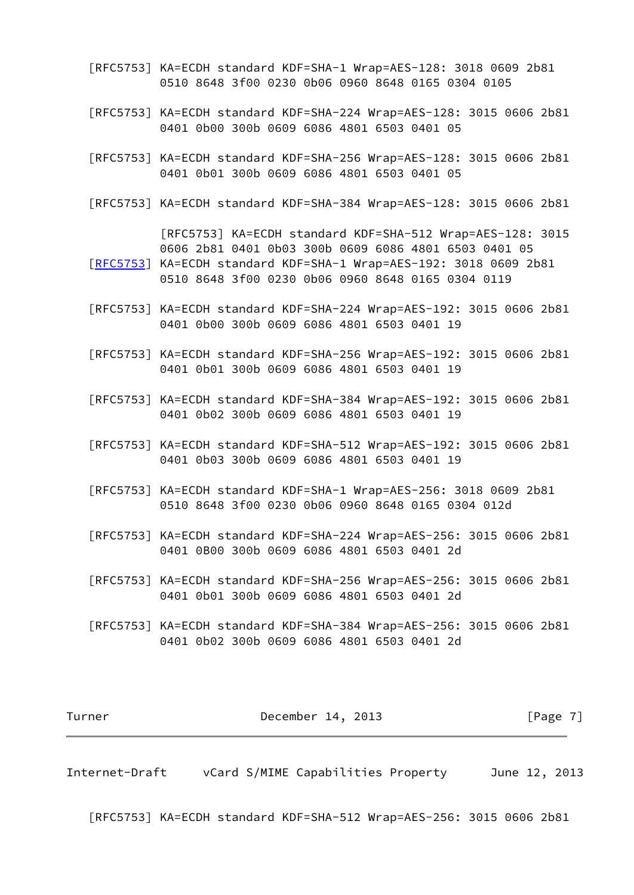- [RFC5753] KA=ECDH standard KDF=SHA-1 Wrap=AES-128: 3018 0609 2b81 0510 8648 3f00 0230 0b06 0960 8648 0165 0304 0105
- [RFC5753] KA=ECDH standard KDF=SHA-224 Wrap=AES-128: 3015 0606 2b81 0401 0b00 300b 0609 6086 4801 6503 0401 05
- [RFC5753] KA=ECDH standard KDF=SHA-256 Wrap=AES-128: 3015 0606 2b81 0401 0b01 300b 0609 6086 4801 6503 0401 05
- [RFC5753] KA=ECDH standard KDF=SHA-384 Wrap=AES-128: 3015 0606 2b81

 [RFC5753] KA=ECDH standard KDF=SHA-512 Wrap=AES-128: 3015 0606 2b81 0401 0b03 300b 0609 6086 4801 6503 0401 05 [\[RFC5753](https://datatracker.ietf.org/doc/pdf/rfc5753)] KA=ECDH standard KDF=SHA-1 Wrap=AES-192: 3018 0609 2b81 0510 8648 3f00 0230 0b06 0960 8648 0165 0304 0119

- [RFC5753] KA=ECDH standard KDF=SHA-224 Wrap=AES-192: 3015 0606 2b81 0401 0b00 300b 0609 6086 4801 6503 0401 19
- [RFC5753] KA=ECDH standard KDF=SHA-256 Wrap=AES-192: 3015 0606 2b81 0401 0b01 300b 0609 6086 4801 6503 0401 19
- [RFC5753] KA=ECDH standard KDF=SHA-384 Wrap=AES-192: 3015 0606 2b81 0401 0b02 300b 0609 6086 4801 6503 0401 19
- [RFC5753] KA=ECDH standard KDF=SHA-512 Wrap=AES-192: 3015 0606 2b81 0401 0b03 300b 0609 6086 4801 6503 0401 19
- [RFC5753] KA=ECDH standard KDF=SHA-1 Wrap=AES-256: 3018 0609 2b81 0510 8648 3f00 0230 0b06 0960 8648 0165 0304 012d
- [RFC5753] KA=ECDH standard KDF=SHA-224 Wrap=AES-256: 3015 0606 2b81 0401 0B00 300b 0609 6086 4801 6503 0401 2d
- [RFC5753] KA=ECDH standard KDF=SHA-256 Wrap=AES-256: 3015 0606 2b81 0401 0b01 300b 0609 6086 4801 6503 0401 2d
- [RFC5753] KA=ECDH standard KDF=SHA-384 Wrap=AES-256: 3015 0606 2b81 0401 0b02 300b 0609 6086 4801 6503 0401 2d

| urner |  |
|-------|--|
|-------|--|

December 14, 2013 [Page 7]

Internet-Draft vCard S/MIME Capabilities Property June 12, 2013

[RFC5753] KA=ECDH standard KDF=SHA-512 Wrap=AES-256: 3015 0606 2b81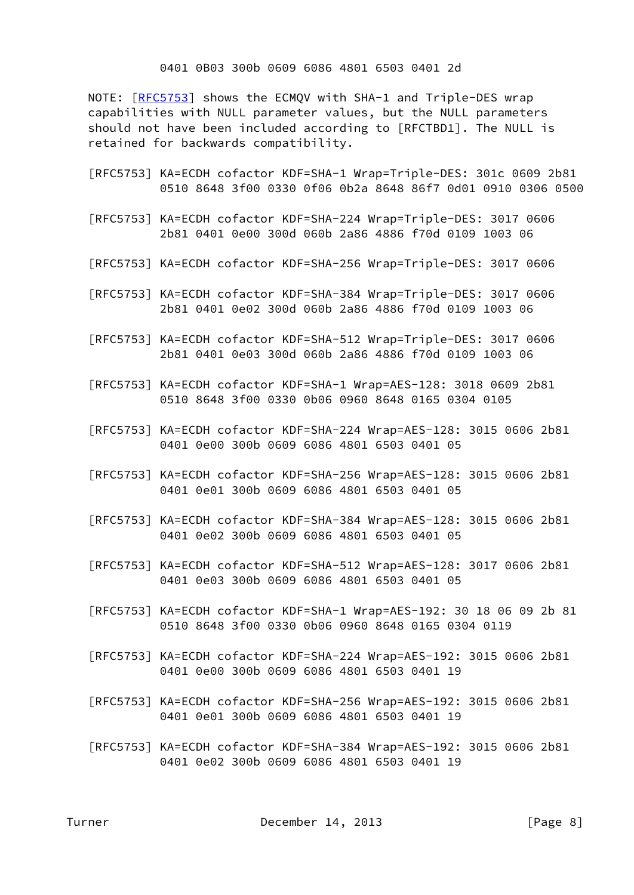#### 0401 0B03 300b 0609 6086 4801 6503 0401 2d

 NOTE: [[RFC5753](https://datatracker.ietf.org/doc/pdf/rfc5753)] shows the ECMQV with SHA-1 and Triple-DES wrap capabilities with NULL parameter values, but the NULL parameters should not have been included according to [RFCTBD1]. The NULL is retained for backwards compatibility.

- [RFC5753] KA=ECDH cofactor KDF=SHA-1 Wrap=Triple-DES: 301c 0609 2b81 0510 8648 3f00 0330 0f06 0b2a 8648 86f7 0d01 0910 0306 0500
- [RFC5753] KA=ECDH cofactor KDF=SHA-224 Wrap=Triple-DES: 3017 0606 2b81 0401 0e00 300d 060b 2a86 4886 f70d 0109 1003 06
- [RFC5753] KA=ECDH cofactor KDF=SHA-256 Wrap=Triple-DES: 3017 0606
- [RFC5753] KA=ECDH cofactor KDF=SHA-384 Wrap=Triple-DES: 3017 0606 2b81 0401 0e02 300d 060b 2a86 4886 f70d 0109 1003 06
- [RFC5753] KA=ECDH cofactor KDF=SHA-512 Wrap=Triple-DES: 3017 0606 2b81 0401 0e03 300d 060b 2a86 4886 f70d 0109 1003 06
- [RFC5753] KA=ECDH cofactor KDF=SHA-1 Wrap=AES-128: 3018 0609 2b81 0510 8648 3f00 0330 0b06 0960 8648 0165 0304 0105
- [RFC5753] KA=ECDH cofactor KDF=SHA-224 Wrap=AES-128: 3015 0606 2b81 0401 0e00 300b 0609 6086 4801 6503 0401 05
- [RFC5753] KA=ECDH cofactor KDF=SHA-256 Wrap=AES-128: 3015 0606 2b81 0401 0e01 300b 0609 6086 4801 6503 0401 05
- [RFC5753] KA=ECDH cofactor KDF=SHA-384 Wrap=AES-128: 3015 0606 2b81 0401 0e02 300b 0609 6086 4801 6503 0401 05
- [RFC5753] KA=ECDH cofactor KDF=SHA-512 Wrap=AES-128: 3017 0606 2b81 0401 0e03 300b 0609 6086 4801 6503 0401 05
- [RFC5753] KA=ECDH cofactor KDF=SHA-1 Wrap=AES-192: 30 18 06 09 2b 81 0510 8648 3f00 0330 0b06 0960 8648 0165 0304 0119
- [RFC5753] KA=ECDH cofactor KDF=SHA-224 Wrap=AES-192: 3015 0606 2b81 0401 0e00 300b 0609 6086 4801 6503 0401 19
- [RFC5753] KA=ECDH cofactor KDF=SHA-256 Wrap=AES-192: 3015 0606 2b81 0401 0e01 300b 0609 6086 4801 6503 0401 19
- [RFC5753] KA=ECDH cofactor KDF=SHA-384 Wrap=AES-192: 3015 0606 2b81 0401 0e02 300b 0609 6086 4801 6503 0401 19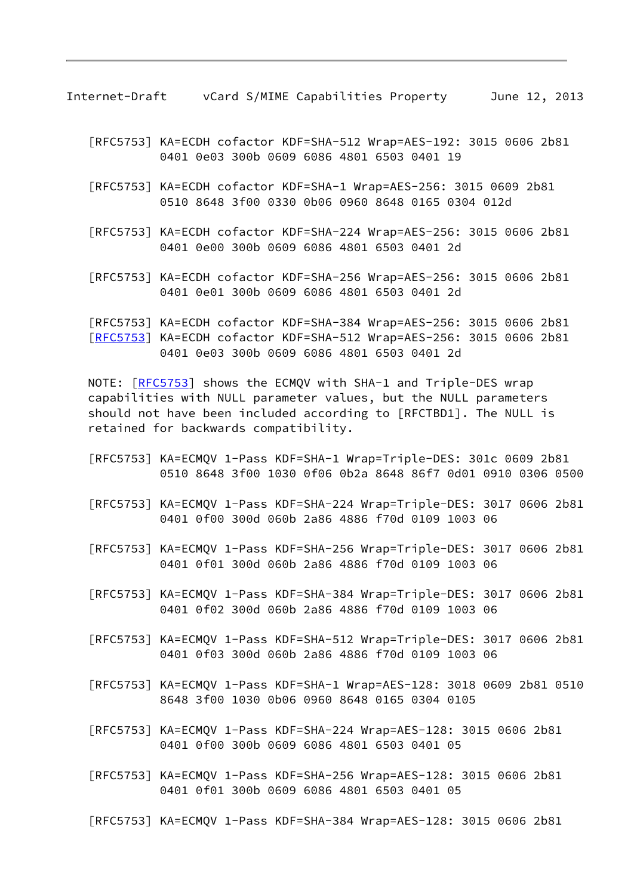Internet-Draft vCard S/MIME Capabilities Property June 12, 2013

- [RFC5753] KA=ECDH cofactor KDF=SHA-512 Wrap=AES-192: 3015 0606 2b81 0401 0e03 300b 0609 6086 4801 6503 0401 19
- [RFC5753] KA=ECDH cofactor KDF=SHA-1 Wrap=AES-256: 3015 0609 2b81 0510 8648 3f00 0330 0b06 0960 8648 0165 0304 012d
- [RFC5753] KA=ECDH cofactor KDF=SHA-224 Wrap=AES-256: 3015 0606 2b81 0401 0e00 300b 0609 6086 4801 6503 0401 2d
- [RFC5753] KA=ECDH cofactor KDF=SHA-256 Wrap=AES-256: 3015 0606 2b81 0401 0e01 300b 0609 6086 4801 6503 0401 2d
- [RFC5753] KA=ECDH cofactor KDF=SHA-384 Wrap=AES-256: 3015 0606 2b81 [\[RFC5753](https://datatracker.ietf.org/doc/pdf/rfc5753)] KA=ECDH cofactor KDF=SHA-512 Wrap=AES-256: 3015 0606 2b81 0401 0e03 300b 0609 6086 4801 6503 0401 2d

NOTE:  $[RECS753]$  shows the ECMQV with SHA-1 and Triple-DES wrap capabilities with NULL parameter values, but the NULL parameters should not have been included according to [RFCTBD1]. The NULL is retained for backwards compatibility.

- [RFC5753] KA=ECMQV 1-Pass KDF=SHA-1 Wrap=Triple-DES: 301c 0609 2b81 0510 8648 3f00 1030 0f06 0b2a 8648 86f7 0d01 0910 0306 0500
- [RFC5753] KA=ECMQV 1-Pass KDF=SHA-224 Wrap=Triple-DES: 3017 0606 2b81 0401 0f00 300d 060b 2a86 4886 f70d 0109 1003 06
- [RFC5753] KA=ECMQV 1-Pass KDF=SHA-256 Wrap=Triple-DES: 3017 0606 2b81 0401 0f01 300d 060b 2a86 4886 f70d 0109 1003 06
- [RFC5753] KA=ECMQV 1-Pass KDF=SHA-384 Wrap=Triple-DES: 3017 0606 2b81 0401 0f02 300d 060b 2a86 4886 f70d 0109 1003 06
- [RFC5753] KA=ECMQV 1-Pass KDF=SHA-512 Wrap=Triple-DES: 3017 0606 2b81 0401 0f03 300d 060b 2a86 4886 f70d 0109 1003 06
- [RFC5753] KA=ECMQV 1-Pass KDF=SHA-1 Wrap=AES-128: 3018 0609 2b81 0510 8648 3f00 1030 0b06 0960 8648 0165 0304 0105
- [RFC5753] KA=ECMQV 1-Pass KDF=SHA-224 Wrap=AES-128: 3015 0606 2b81 0401 0f00 300b 0609 6086 4801 6503 0401 05
- [RFC5753] KA=ECMQV 1-Pass KDF=SHA-256 Wrap=AES-128: 3015 0606 2b81 0401 0f01 300b 0609 6086 4801 6503 0401 05

[RFC5753] KA=ECMQV 1-Pass KDF=SHA-384 Wrap=AES-128: 3015 0606 2b81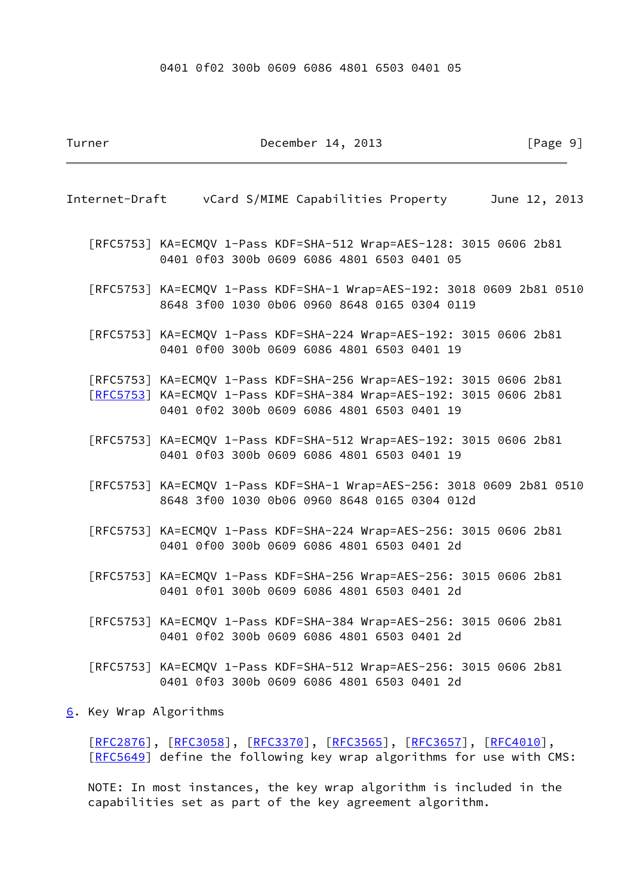#### 0401 0f02 300b 0609 6086 4801 6503 0401 05

## Turner **December 14, 2013** [Page 9]

Internet-Draft vCard S/MIME Capabilities Property June 12, 2013

- [RFC5753] KA=ECMQV 1-Pass KDF=SHA-512 Wrap=AES-128: 3015 0606 2b81 0401 0f03 300b 0609 6086 4801 6503 0401 05
- [RFC5753] KA=ECMQV 1-Pass KDF=SHA-1 Wrap=AES-192: 3018 0609 2b81 0510 8648 3f00 1030 0b06 0960 8648 0165 0304 0119
- [RFC5753] KA=ECMQV 1-Pass KDF=SHA-224 Wrap=AES-192: 3015 0606 2b81 0401 0f00 300b 0609 6086 4801 6503 0401 19
- [RFC5753] KA=ECMQV 1-Pass KDF=SHA-256 Wrap=AES-192: 3015 0606 2b81

 [\[RFC5753](https://datatracker.ietf.org/doc/pdf/rfc5753)] KA=ECMQV 1-Pass KDF=SHA-384 Wrap=AES-192: 3015 0606 2b81 0401 0f02 300b 0609 6086 4801 6503 0401 19

- [RFC5753] KA=ECMQV 1-Pass KDF=SHA-512 Wrap=AES-192: 3015 0606 2b81 0401 0f03 300b 0609 6086 4801 6503 0401 19
- [RFC5753] KA=ECMQV 1-Pass KDF=SHA-1 Wrap=AES-256: 3018 0609 2b81 0510 8648 3f00 1030 0b06 0960 8648 0165 0304 012d
- [RFC5753] KA=ECMQV 1-Pass KDF=SHA-224 Wrap=AES-256: 3015 0606 2b81 0401 0f00 300b 0609 6086 4801 6503 0401 2d
- [RFC5753] KA=ECMQV 1-Pass KDF=SHA-256 Wrap=AES-256: 3015 0606 2b81 0401 0f01 300b 0609 6086 4801 6503 0401 2d
- [RFC5753] KA=ECMQV 1-Pass KDF=SHA-384 Wrap=AES-256: 3015 0606 2b81 0401 0f02 300b 0609 6086 4801 6503 0401 2d
- [RFC5753] KA=ECMQV 1-Pass KDF=SHA-512 Wrap=AES-256: 3015 0606 2b81 0401 0f03 300b 0609 6086 4801 6503 0401 2d

## <span id="page-10-0"></span>[6](#page-10-0). Key Wrap Algorithms

 [\[RFC2876](https://datatracker.ietf.org/doc/pdf/rfc2876)], [[RFC3058\]](https://datatracker.ietf.org/doc/pdf/rfc3058), [[RFC3370](https://datatracker.ietf.org/doc/pdf/rfc3370)], [\[RFC3565](https://datatracker.ietf.org/doc/pdf/rfc3565)], [\[RFC3657](https://datatracker.ietf.org/doc/pdf/rfc3657)], [\[RFC4010](https://datatracker.ietf.org/doc/pdf/rfc4010)], [\[RFC5649](https://datatracker.ietf.org/doc/pdf/rfc5649)] define the following key wrap algorithms for use with CMS:

 NOTE: In most instances, the key wrap algorithm is included in the capabilities set as part of the key agreement algorithm.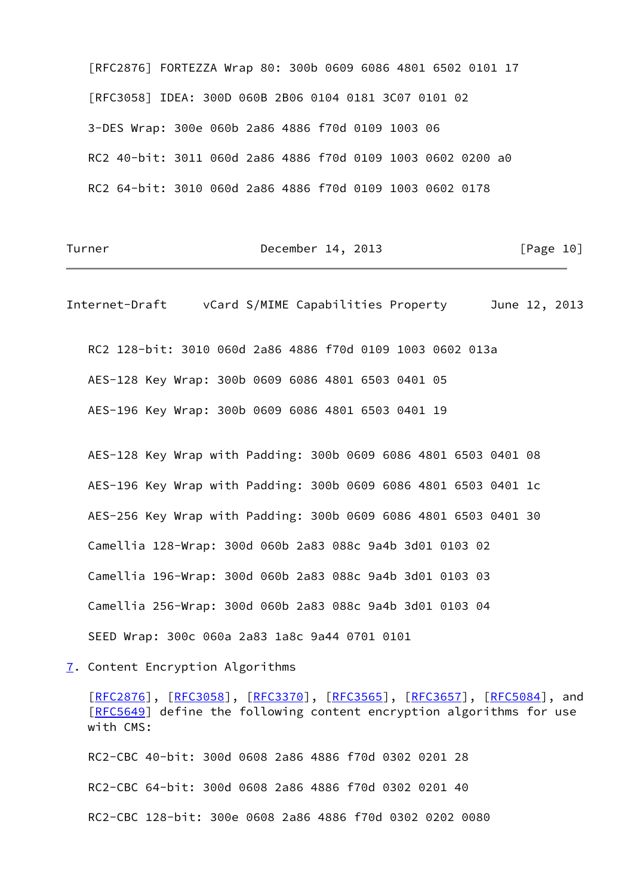[RFC2876] FORTEZZA Wrap 80: 300b 0609 6086 4801 6502 0101 17 [RFC3058] IDEA: 300D 060B 2B06 0104 0181 3C07 0101 02 3-DES Wrap: 300e 060b 2a86 4886 f70d 0109 1003 06 RC2 40-bit: 3011 060d 2a86 4886 f70d 0109 1003 0602 0200 a0 RC2 64-bit: 3010 060d 2a86 4886 f70d 0109 1003 0602 0178

| Turner | December 14, 2013 | [Page 10] |  |
|--------|-------------------|-----------|--|
|        |                   |           |  |

Internet-Draft vCard S/MIME Capabilities Property June 12, 2013

 RC2 128-bit: 3010 060d 2a86 4886 f70d 0109 1003 0602 013a AES-128 Key Wrap: 300b 0609 6086 4801 6503 0401 05 AES-196 Key Wrap: 300b 0609 6086 4801 6503 0401 19

 AES-128 Key Wrap with Padding: 300b 0609 6086 4801 6503 0401 08 AES-196 Key Wrap with Padding: 300b 0609 6086 4801 6503 0401 1c AES-256 Key Wrap with Padding: 300b 0609 6086 4801 6503 0401 30 Camellia 128-Wrap: 300d 060b 2a83 088c 9a4b 3d01 0103 02 Camellia 196-Wrap: 300d 060b 2a83 088c 9a4b 3d01 0103 03 Camellia 256-Wrap: 300d 060b 2a83 088c 9a4b 3d01 0103 04 SEED Wrap: 300c 060a 2a83 1a8c 9a44 0701 0101

<span id="page-11-0"></span>[7](#page-11-0). Content Encryption Algorithms

[\[RFC2876](https://datatracker.ietf.org/doc/pdf/rfc2876)], [[RFC3058\]](https://datatracker.ietf.org/doc/pdf/rfc3058), [[RFC3370](https://datatracker.ietf.org/doc/pdf/rfc3370)], [\[RFC3565](https://datatracker.ietf.org/doc/pdf/rfc3565)], [\[RFC3657](https://datatracker.ietf.org/doc/pdf/rfc3657)], [\[RFC5084](https://datatracker.ietf.org/doc/pdf/rfc5084)], and [\[RFC5649](https://datatracker.ietf.org/doc/pdf/rfc5649)] define the following content encryption algorithms for use with CMS:

 RC2-CBC 40-bit: 300d 0608 2a86 4886 f70d 0302 0201 28 RC2-CBC 64-bit: 300d 0608 2a86 4886 f70d 0302 0201 40 RC2-CBC 128-bit: 300e 0608 2a86 4886 f70d 0302 0202 0080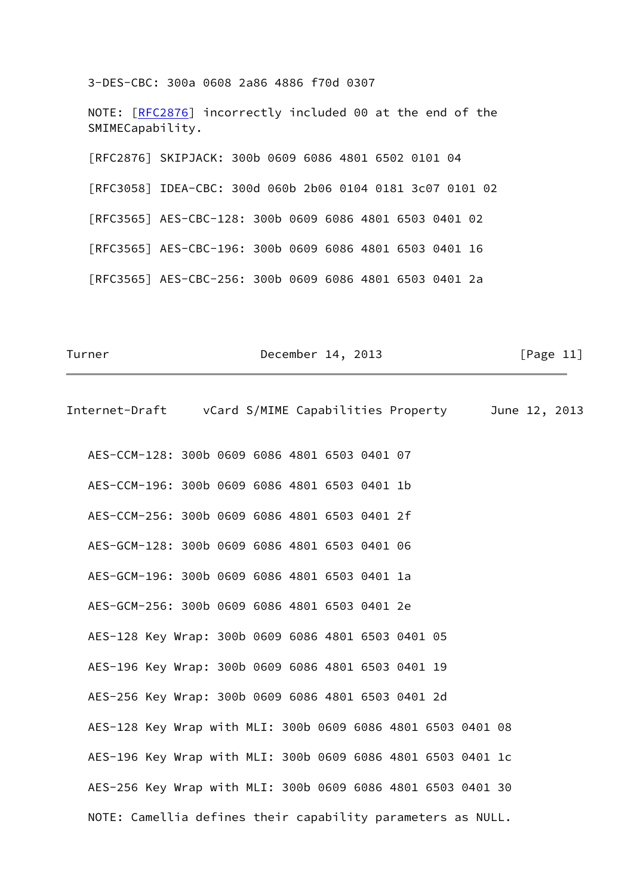3-DES-CBC: 300a 0608 2a86 4886 f70d 0307

NOTE: [[RFC2876](https://datatracker.ietf.org/doc/pdf/rfc2876)] incorrectly included 00 at the end of the SMIMECapability.

[RFC2876] SKIPJACK: 300b 0609 6086 4801 6502 0101 04

[RFC3058] IDEA-CBC: 300d 060b 2b06 0104 0181 3c07 0101 02

[RFC3565] AES-CBC-128: 300b 0609 6086 4801 6503 0401 02

[RFC3565] AES-CBC-196: 300b 0609 6086 4801 6503 0401 16

[RFC3565] AES-CBC-256: 300b 0609 6086 4801 6503 0401 2a

Turner **December 14, 2013** [Page 11]

Internet-Draft vCard S/MIME Capabilities Property June 12, 2013

 AES-CCM-128: 300b 0609 6086 4801 6503 0401 07 AES-CCM-196: 300b 0609 6086 4801 6503 0401 1b AES-CCM-256: 300b 0609 6086 4801 6503 0401 2f AES-GCM-128: 300b 0609 6086 4801 6503 0401 06 AES-GCM-196: 300b 0609 6086 4801 6503 0401 1a AES-GCM-256: 300b 0609 6086 4801 6503 0401 2e AES-128 Key Wrap: 300b 0609 6086 4801 6503 0401 05 AES-196 Key Wrap: 300b 0609 6086 4801 6503 0401 19 AES-256 Key Wrap: 300b 0609 6086 4801 6503 0401 2d AES-128 Key Wrap with MLI: 300b 0609 6086 4801 6503 0401 08 AES-196 Key Wrap with MLI: 300b 0609 6086 4801 6503 0401 1c AES-256 Key Wrap with MLI: 300b 0609 6086 4801 6503 0401 30 NOTE: Camellia defines their capability parameters as NULL.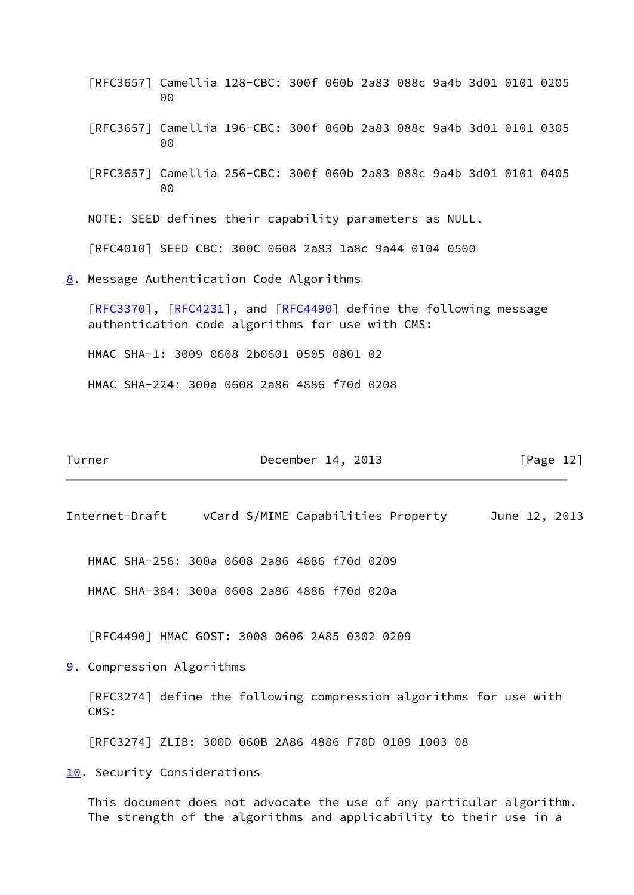- [RFC3657] Camellia 128-CBC: 300f 060b 2a83 088c 9a4b 3d01 0101 0205 00
- [RFC3657] Camellia 196-CBC: 300f 060b 2a83 088c 9a4b 3d01 0101 0305  $00$
- [RFC3657] Camellia 256-CBC: 300f 060b 2a83 088c 9a4b 3d01 0101 0405 00

NOTE: SEED defines their capability parameters as NULL.

[RFC4010] SEED CBC: 300C 0608 2a83 1a8c 9a44 0104 0500

<span id="page-13-0"></span>[8](#page-13-0). Message Authentication Code Algorithms

[\[RFC3370](https://datatracker.ietf.org/doc/pdf/rfc3370)], [[RFC4231\]](https://datatracker.ietf.org/doc/pdf/rfc4231), and [[RFC4490](https://datatracker.ietf.org/doc/pdf/rfc4490)] define the following message authentication code algorithms for use with CMS:

HMAC SHA-1: 3009 0608 2b0601 0505 0801 02

HMAC SHA-224: 300a 0608 2a86 4886 f70d 0208

| Turner | December 14, 2013 | [Page 12] |
|--------|-------------------|-----------|
|--------|-------------------|-----------|

Internet-Draft vCard S/MIME Capabilities Property June 12, 2013

HMAC SHA-256: 300a 0608 2a86 4886 f70d 0209

HMAC SHA-384: 300a 0608 2a86 4886 f70d 020a

[RFC4490] HMAC GOST: 3008 0606 2A85 0302 0209

<span id="page-13-1"></span>[9](#page-13-1). Compression Algorithms

 [RFC3274] define the following compression algorithms for use with CMS:

[RFC3274] ZLIB: 300D 060B 2A86 4886 F70D 0109 1003 08

<span id="page-13-2"></span>[10.](#page-13-2) Security Considerations

 This document does not advocate the use of any particular algorithm. The strength of the algorithms and applicability to their use in a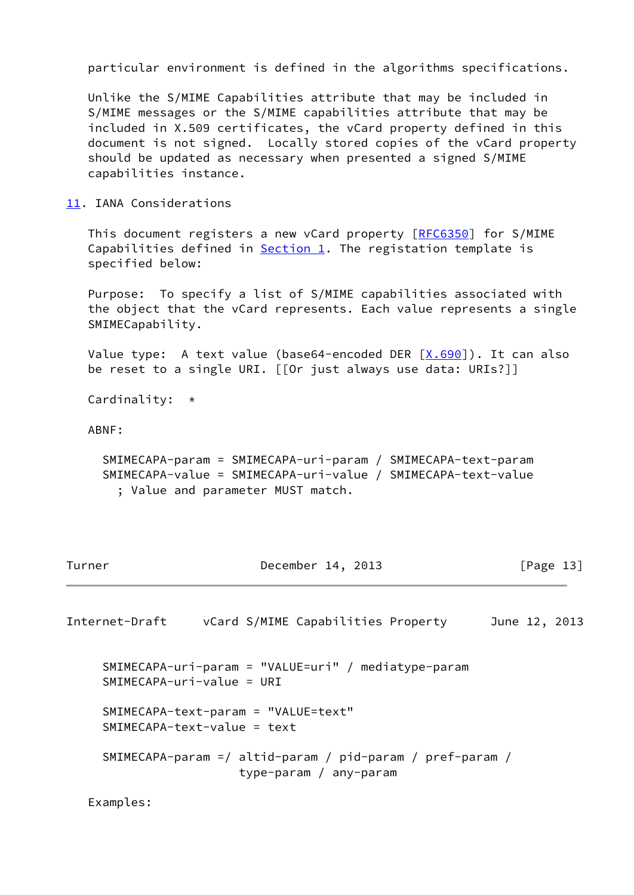particular environment is defined in the algorithms specifications.

 Unlike the S/MIME Capabilities attribute that may be included in S/MIME messages or the S/MIME capabilities attribute that may be included in X.509 certificates, the vCard property defined in this document is not signed. Locally stored copies of the vCard property should be updated as necessary when presented a signed S/MIME capabilities instance.

<span id="page-14-0"></span>[11.](#page-14-0) IANA Considerations

This document registers a new vCard property [\[RFC6350](https://datatracker.ietf.org/doc/pdf/rfc6350)] for S/MIME Capabilities defined in  $Section 1$ . The registation template is specified below:

 Purpose: To specify a list of S/MIME capabilities associated with the object that the vCard represents. Each value represents a single SMIMECapability.

Value type: A text value (base64-encoded DER  $[X.690]$  $[X.690]$ ). It can also be reset to a single URI. [[Or just always use data: URIs?]]

Cardinality: \*

ABNF:

```
 SMIMECAPA-param = SMIMECAPA-uri-param / SMIMECAPA-text-param
SMIMECAPA-value = SMIMECAPA-uri-value / SMIMECAPA-text-value
  ; Value and parameter MUST match.
```
Turner **December 14, 2013** [Page 13]

Internet-Draft vCard S/MIME Capabilities Property June 12, 2013 SMIMECAPA-uri-param = "VALUE=uri" / mediatype-param SMIMECAPA-uri-value = URI SMIMECAPA-text-param = "VALUE=text" SMIMECAPA-text-value = text SMIMECAPA-param =/ altid-param / pid-param / pref-param / type-param / any-param

Examples: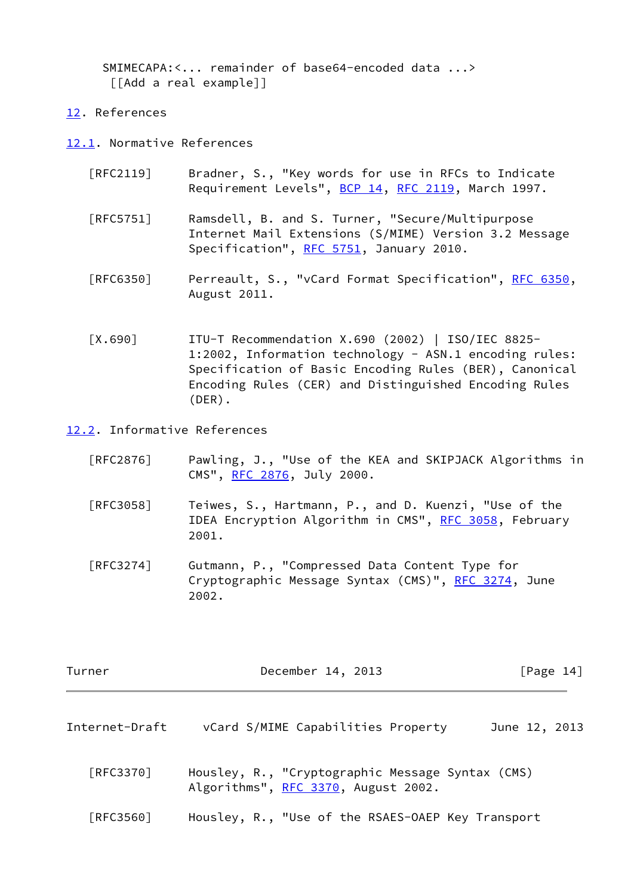SMIMECAPA:<... remainder of base64-encoded data ...> [[Add a real example]]

<span id="page-15-1"></span>[12.](#page-15-1) References

<span id="page-15-2"></span>[12.1](#page-15-2). Normative References

- [RFC2119] Bradner, S., "Key words for use in RFCs to Indicate Requirement Levels", [BCP 14](https://datatracker.ietf.org/doc/pdf/bcp14), [RFC 2119,](https://datatracker.ietf.org/doc/pdf/rfc2119) March 1997.
- [RFC5751] Ramsdell, B. and S. Turner, "Secure/Multipurpose Internet Mail Extensions (S/MIME) Version 3.2 Message Specification", [RFC 5751](https://datatracker.ietf.org/doc/pdf/rfc5751), January 2010.
- [RFC6350] Perreault, S., "vCard Format Specification", [RFC 6350,](https://datatracker.ietf.org/doc/pdf/rfc6350) August 2011.
- <span id="page-15-0"></span> [X.690] ITU-T Recommendation X.690 (2002) | ISO/IEC 8825- 1:2002, Information technology - ASN.1 encoding rules: Specification of Basic Encoding Rules (BER), Canonical Encoding Rules (CER) and Distinguished Encoding Rules (DER).

<span id="page-15-3"></span>[12.2](#page-15-3). Informative References

- [RFC2876] Pawling, J., "Use of the KEA and SKIPJACK Algorithms in CMS", [RFC 2876,](https://datatracker.ietf.org/doc/pdf/rfc2876) July 2000.
- [RFC3058] Teiwes, S., Hartmann, P., and D. Kuenzi, "Use of the IDEA Encryption Algorithm in CMS", [RFC 3058](https://datatracker.ietf.org/doc/pdf/rfc3058), February 2001.
- [RFC3274] Gutmann, P., "Compressed Data Content Type for Cryptographic Message Syntax (CMS)", [RFC 3274,](https://datatracker.ietf.org/doc/pdf/rfc3274) June 2002.

| Turner         | [Page $14$ ]                                                                            |               |  |
|----------------|-----------------------------------------------------------------------------------------|---------------|--|
| Internet-Draft | vCard S/MIME Capabilities Property                                                      | June 12, 2013 |  |
| [RFC3370]      | Housley, R., "Cryptographic Message Syntax (CMS)<br>Algorithms", RFC 3370, August 2002. |               |  |
| [RFC3560]      | Housley, R., "Use of the RSAES-OAEP Key Transport                                       |               |  |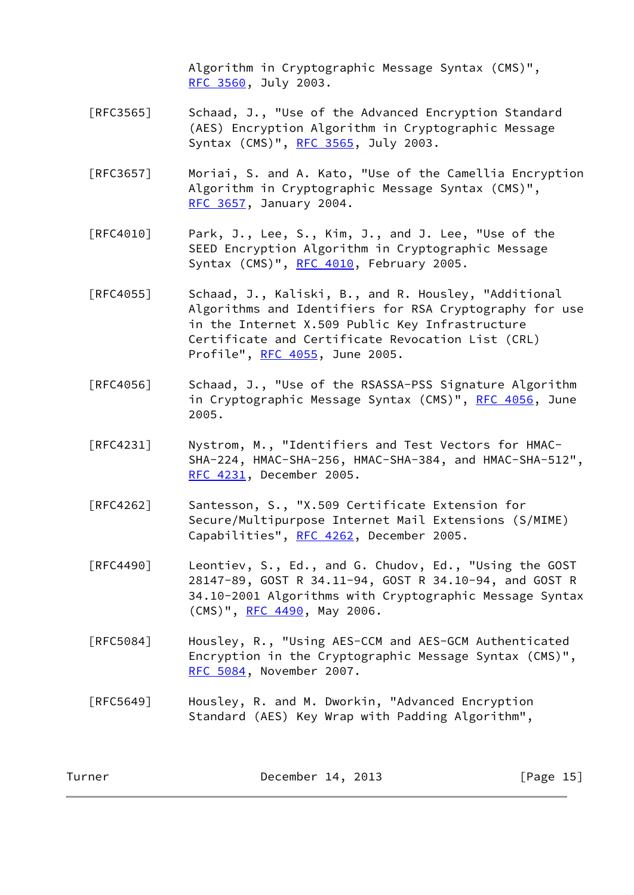Algorithm in Cryptographic Message Syntax (CMS)", [RFC 3560](https://datatracker.ietf.org/doc/pdf/rfc3560), July 2003.

- [RFC3565] Schaad, J., "Use of the Advanced Encryption Standard (AES) Encryption Algorithm in Cryptographic Message Syntax (CMS)", [RFC 3565](https://datatracker.ietf.org/doc/pdf/rfc3565), July 2003.
- [RFC3657] Moriai, S. and A. Kato, "Use of the Camellia Encryption Algorithm in Cryptographic Message Syntax (CMS)", [RFC 3657](https://datatracker.ietf.org/doc/pdf/rfc3657), January 2004.
- [RFC4010] Park, J., Lee, S., Kim, J., and J. Lee, "Use of the SEED Encryption Algorithm in Cryptographic Message Syntax (CMS)", [RFC 4010](https://datatracker.ietf.org/doc/pdf/rfc4010), February 2005.
- [RFC4055] Schaad, J., Kaliski, B., and R. Housley, "Additional Algorithms and Identifiers for RSA Cryptography for use in the Internet X.509 Public Key Infrastructure Certificate and Certificate Revocation List (CRL) Profile", [RFC 4055](https://datatracker.ietf.org/doc/pdf/rfc4055), June 2005.
- [RFC4056] Schaad, J., "Use of the RSASSA-PSS Signature Algorithm in Cryptographic Message Syntax (CMS)", [RFC 4056](https://datatracker.ietf.org/doc/pdf/rfc4056), June 2005.
- [RFC4231] Nystrom, M., "Identifiers and Test Vectors for HMAC- SHA-224, HMAC-SHA-256, HMAC-SHA-384, and HMAC-SHA-512", [RFC 4231](https://datatracker.ietf.org/doc/pdf/rfc4231), December 2005.
- [RFC4262] Santesson, S., "X.509 Certificate Extension for Secure/Multipurpose Internet Mail Extensions (S/MIME) Capabilities", [RFC 4262](https://datatracker.ietf.org/doc/pdf/rfc4262), December 2005.
- [RFC4490] Leontiev, S., Ed., and G. Chudov, Ed., "Using the GOST 28147-89, GOST R 34.11-94, GOST R 34.10-94, and GOST R 34.10-2001 Algorithms with Cryptographic Message Syntax (CMS)", [RFC 4490](https://datatracker.ietf.org/doc/pdf/rfc4490), May 2006.
- [RFC5084] Housley, R., "Using AES-CCM and AES-GCM Authenticated Encryption in the Cryptographic Message Syntax (CMS)", [RFC 5084](https://datatracker.ietf.org/doc/pdf/rfc5084), November 2007.
- [RFC5649] Housley, R. and M. Dworkin, "Advanced Encryption Standard (AES) Key Wrap with Padding Algorithm",

| Turner | December 14, 2013 | [Page $15$ ] |  |
|--------|-------------------|--------------|--|
|        |                   |              |  |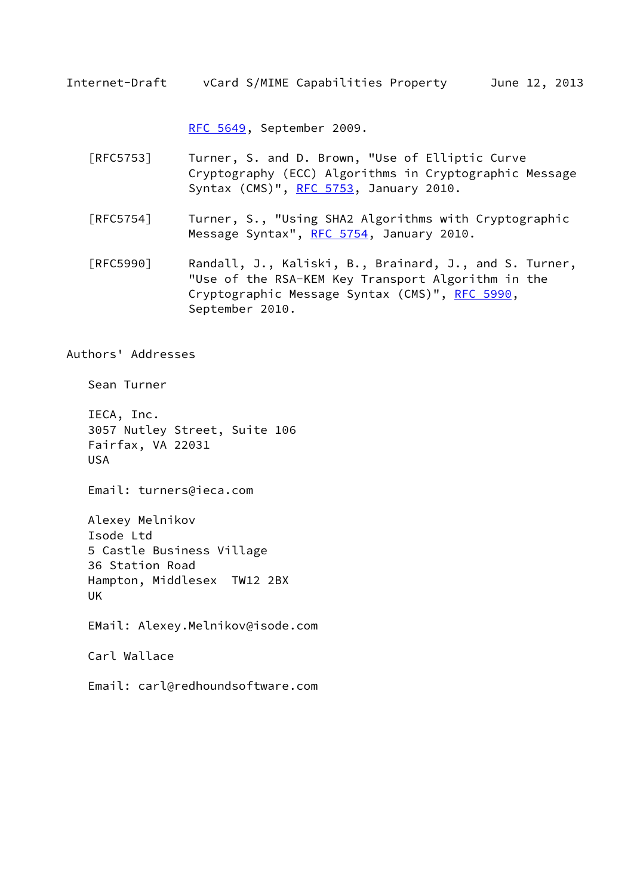Internet-Draft vCard S/MIME Capabilities Property June 12, 2013

[RFC 5649](https://datatracker.ietf.org/doc/pdf/rfc5649), September 2009.

- [RFC5753] Turner, S. and D. Brown, "Use of Elliptic Curve Cryptography (ECC) Algorithms in Cryptographic Message Syntax (CMS)", [RFC 5753](https://datatracker.ietf.org/doc/pdf/rfc5753), January 2010.
- [RFC5754] Turner, S., "Using SHA2 Algorithms with Cryptographic Message Syntax", [RFC 5754,](https://datatracker.ietf.org/doc/pdf/rfc5754) January 2010.
- [RFC5990] Randall, J., Kaliski, B., Brainard, J., and S. Turner, "Use of the RSA-KEM Key Transport Algorithm in the Cryptographic Message Syntax (CMS)", [RFC 5990,](https://datatracker.ietf.org/doc/pdf/rfc5990) September 2010.

Authors' Addresses

Sean Turner

 IECA, Inc. 3057 Nutley Street, Suite 106 Fairfax, VA 22031 USA

Email: turners@ieca.com

 Alexey Melnikov Isode Ltd 5 Castle Business Village 36 Station Road Hampton, Middlesex TW12 2BX UK

EMail: Alexey.Melnikov@isode.com

Carl Wallace

Email: carl@redhoundsoftware.com